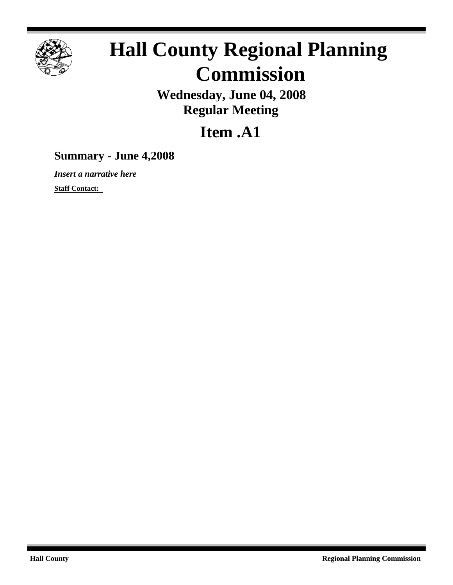

# **Hall County Regional Planning Commission**

**Wednesday, June 04, 2008 Regular Meeting**

## **Item .A1**

## **Summary - June 4,2008**

*Insert a narrative here*

**Staff Contact:**